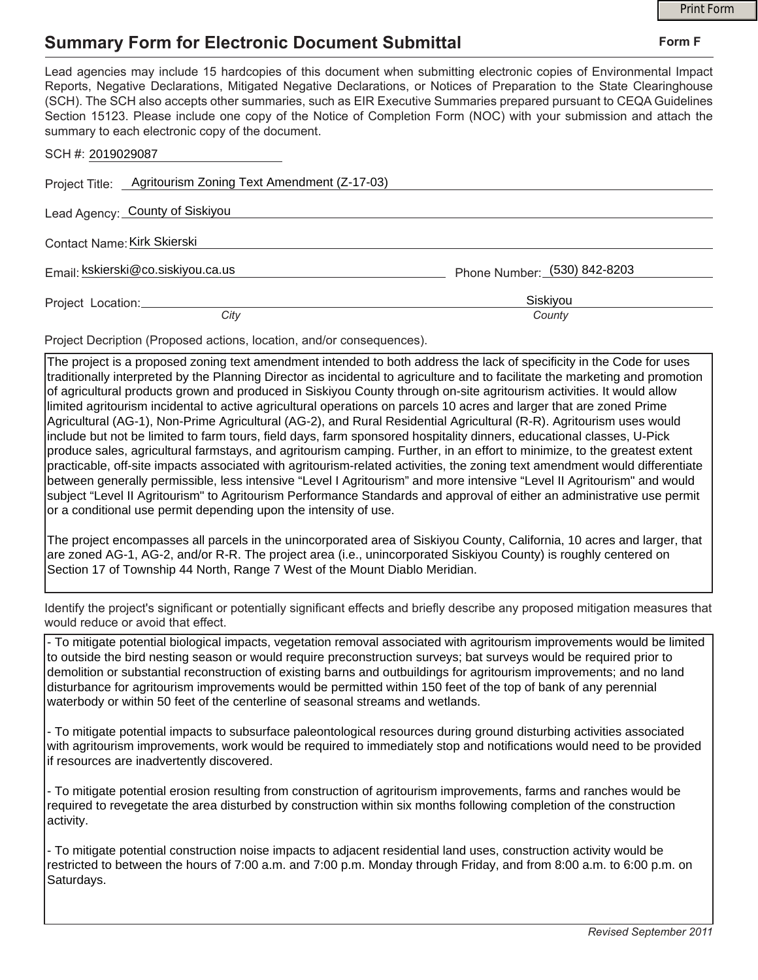## **Summary Form for Electronic Document Submittal**

|                                                                                                                                                                                                                                                                                                                                                                                                                                                                                                                                           |                              | <b>Print Form</b> |
|-------------------------------------------------------------------------------------------------------------------------------------------------------------------------------------------------------------------------------------------------------------------------------------------------------------------------------------------------------------------------------------------------------------------------------------------------------------------------------------------------------------------------------------------|------------------------------|-------------------|
| <b>Summary Form for Electronic Document Submittal</b>                                                                                                                                                                                                                                                                                                                                                                                                                                                                                     |                              | Form F            |
| Lead agencies may include 15 hardcopies of this document when submitting electronic copies of Environmental Impact<br>Reports, Negative Declarations, Mitigated Negative Declarations, or Notices of Preparation to the State Clearinghouse<br>(SCH). The SCH also accepts other summaries, such as EIR Executive Summaries prepared pursuant to CEQA Guidelines<br>Section 15123. Please include one copy of the Notice of Completion Form (NOC) with your submission and attach the<br>summary to each electronic copy of the document. |                              |                   |
| SCH #: 2019029087                                                                                                                                                                                                                                                                                                                                                                                                                                                                                                                         |                              |                   |
| Project Title: Agritourism Zoning Text Amendment (Z-17-03)                                                                                                                                                                                                                                                                                                                                                                                                                                                                                |                              |                   |
| Lead Agency: County of Siskiyou                                                                                                                                                                                                                                                                                                                                                                                                                                                                                                           |                              |                   |
| Contact Name: Kirk Skierski                                                                                                                                                                                                                                                                                                                                                                                                                                                                                                               |                              |                   |
| Email: kskierski@co.siskiyou.ca.us                                                                                                                                                                                                                                                                                                                                                                                                                                                                                                        | Phone Number: (530) 842-8203 |                   |
| Project Location:<br>City                                                                                                                                                                                                                                                                                                                                                                                                                                                                                                                 | Siskiyou<br>County           |                   |
|                                                                                                                                                                                                                                                                                                                                                                                                                                                                                                                                           |                              |                   |

Project Decription (Proposed actions, location, and/or consequences).

The project is a proposed zoning text amendment intended to both address the lack of specificity in the Code for uses traditionally interpreted by the Planning Director as incidental to agriculture and to facilitate the marketing and promotion of agricultural products grown and produced in Siskiyou County through on-site agritourism activities. It would allow limited agritourism incidental to active agricultural operations on parcels 10 acres and larger that are zoned Prime Agricultural (AG-1), Non-Prime Agricultural (AG-2), and Rural Residential Agricultural (R-R). Agritourism uses would include but not be limited to farm tours, field days, farm sponsored hospitality dinners, educational classes, U-Pick produce sales, agricultural farmstays, and agritourism camping. Further, in an effort to minimize, to the greatest extent practicable, off-site impacts associated with agritourism-related activities, the zoning text amendment would differentiate between generally permissible, less intensive "Level I Agritourism" and more intensive "Level II Agritourism" and would subject "Level II Agritourism" to Agritourism Performance Standards and approval of either an administrative use permit or a conditional use permit depending upon the intensity of use.

The project encompasses all parcels in the unincorporated area of Siskiyou County, California, 10 acres and larger, that are zoned AG-1, AG-2, and/or R-R. The project area (i.e., unincorporated Siskiyou County) is roughly centered on Section 17 of Township 44 North, Range 7 West of the Mount Diablo Meridian.

Identify the project's significant or potentially significant effects and briefly describe any proposed mitigation measures that would reduce or avoid that effect.

- To mitigate potential biological impacts, vegetation removal associated with agritourism improvements would be limited to outside the bird nesting season or would require preconstruction surveys; bat surveys would be required prior to demolition or substantial reconstruction of existing barns and outbuildings for agritourism improvements; and no land disturbance for agritourism improvements would be permitted within 150 feet of the top of bank of any perennial waterbody or within 50 feet of the centerline of seasonal streams and wetlands.

- To mitigate potential impacts to subsurface paleontological resources during ground disturbing activities associated with agritourism improvements, work would be required to immediately stop and notifications would need to be provided if resources are inadvertently discovered.

- To mitigate potential erosion resulting from construction of agritourism improvements, farms and ranches would be required to revegetate the area disturbed by construction within six months following completion of the construction activity.

- To mitigate potential construction noise impacts to adjacent residential land uses, construction activity would be restricted to between the hours of 7:00 a.m. and 7:00 p.m. Monday through Friday, and from 8:00 a.m. to 6:00 p.m. on Saturdays.